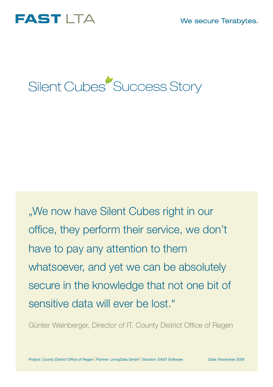We secure Terabytes.





"We now have Silent Cubes right in our office, they perform their service, we don't have to pay any attention to them whatsoever, and yet we can be absolutely secure in the knowledge that not one bit of sensitive data will ever be lost."

Günter Weinberger, Director of IT, County District Office of Regen

Project: County District Office of Regen | Partner: LivingData GmbH | Solution: EASY Software Date: November 2009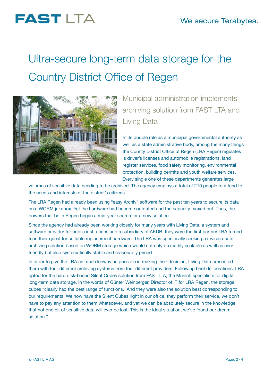## **FAST LTA**

# Ultra-secure long-term data storage for the Country District Office of Regen



### Municipal administration implements archiving solution from FAST LTA and Living Data

In its double role as a municipal governmental authority as well as a state administrative body, among the many things the County District Office of Regen (LRA Regen) regulates is driver's licenses and automobile registrations, land register services, food safety monitoring, environmental protection, building permits and youth welfare services. Every single one of these departments generates large

volumes of sensitive data needing to be archived. The agency employs a total of 210 people to attend to the needs and interests of the district's citizens.

The LRA Regen had already been using "easy Archiv" software for the past ten years to secure its data on a WORM jukebox. Yet the hardware had become outdated and the capacity maxed out. Thus, the powers that be in Regen began a mid-year search for a new solution.

Since the agency had already been working closely for many years with Living Data, a system and software provider for public institutions and a subsidiary of AKDB, they were the first partner LRA turned to in their quest for suitable replacement hardware. The LRA was specifically seeking a revision-safe archiving solution based on WORM storage which would not only be readily scalable as well as userfriendly but also systematically stable and reasonably priced.

In order to give the LRA as much leeway as possible in making their decision, Living Data presented them with four different archiving systems from four different providers. Following brief deliberations, LRA opted for the hard disk-based Silent Cubes solution from FAST LTA, the Munich specialists for digital long-term data storage. In the words of Günter Weinberger, Director of IT for LRA Regen, the storage cubes "clearly had the best range of functions. And they were also the solution best corresponding to our requirements. We now have the Silent Cubes right in our office, they perform their service, we don't have to pay any attention to them whatsoever, and yet we can be absolutely secure in the knowledge that not one bit of sensitive data will ever be lost. This is the ideal situation, we've found our dream solution."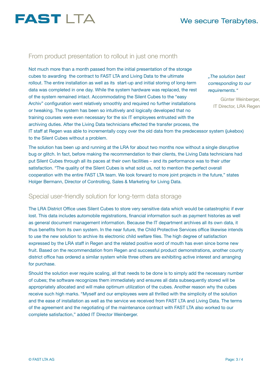

#### From product presentation to rollout in just one month

Not much more than a month passed from the initial presentation of the storage cubes to awarding the contract to FAST LTA and Living Data to the ultimate rollout. The entire installation as well as its start-up and initial storing of long-term data was completed in one day. While the system hardware was replaced, the rest of the system remained intact. Accommodating the Silent Cubes to the "easy Archiv" configuration went relatively smoothly and required no further installations or tweaking. The system has been so intuitively and logically developed that no training courses were even necessary for the six IT employees entrusted with the archiving duties. After the Living Data technicians effected the transfer process, the

*"The solution best corresponding to our requirements."*

> Günter Weinberger, IT Director, LRA Regen

IT staff at Regen was able to incrementally copy over the old data from the predecessor system (jukebox) to the Silent Cubes without a problem.

The solution has been up and running at the LRA for about two months now without a single disruptive bug or glitch. In fact, before making the recommendation to their clients, the Living Data technicians had put Silent Cubes through all its paces at their own facilities – and its performance was to their utter satisfaction. "The quality of the Silent Cubes is what sold us, not to mention the perfect overall cooperation with the entire FAST LTA team. We look forward to more joint projects in the future," states Holger Bermann, Director of Controlling, Sales & Marketing for Living Data.

#### Special user-friendly solution for long-term data storage

The LRA District Office uses Silent Cubes to store very sensitive data which would be catastrophic if ever lost. This data includes automobile registrations, financial information such as payment histories as well as general document management information. Because the IT department archives all its own data, it thus benefits from its own system. In the near future, the Child Protective Services office likewise intends to use the new solution to archive its electronic child welfare files. The high degree of satisfaction expressed by the LRA staff in Regen and the related positive word of mouth has even since borne new fruit. Based on the recommendation from Regen and successful product demonstrations, another county district office has ordered a similar system while three others are exhibiting active interest and arranging for purchase.

Should the solution ever require scaling, all that needs to be done is to simply add the necessary number of cubes; the software recognizes them immediately and ensures all data subsequently stored will be appropriately allocated and will make optimum utilization of the cubes. Another reason why the cubes receive such high marks. "Myself and our employees were all thrilled with the simplicity of the solution and the ease of installation as well as the service we received from FAST LTA and Living Data. The terms of the agreement and the negotiating of the maintenance contract with FAST LTA also worked to our complete satisfaction," added IT Director Weinberger.